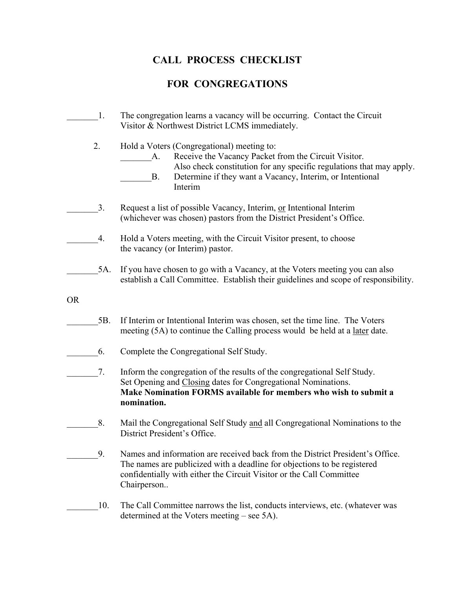## **CALL PROCESS CHECKLIST**

## **FOR CONGREGATIONS**

|           | 1.  | The congregation learns a vacancy will be occurring. Contact the Circuit<br>Visitor & Northwest District LCMS immediately.                                                                                                                                            |
|-----------|-----|-----------------------------------------------------------------------------------------------------------------------------------------------------------------------------------------------------------------------------------------------------------------------|
|           | 2.  | Hold a Voters (Congregational) meeting to:<br>Receive the Vacancy Packet from the Circuit Visitor.<br>A.<br>Also check constitution for any specific regulations that may apply.<br>Determine if they want a Vacancy, Interim, or Intentional<br><b>B.</b><br>Interim |
|           | 3.  | Request a list of possible Vacancy, Interim, or Intentional Interim<br>(whichever was chosen) pastors from the District President's Office.                                                                                                                           |
|           | 4.  | Hold a Voters meeting, with the Circuit Visitor present, to choose<br>the vacancy (or Interim) pastor.                                                                                                                                                                |
|           | 5A. | If you have chosen to go with a Vacancy, at the Voters meeting you can also<br>establish a Call Committee. Establish their guidelines and scope of responsibility.                                                                                                    |
| <b>OR</b> |     |                                                                                                                                                                                                                                                                       |
|           | 5B. | If Interim or Intentional Interim was chosen, set the time line. The Voters<br>meeting (5A) to continue the Calling process would be held at a <u>later</u> date.                                                                                                     |
|           | 6.  | Complete the Congregational Self Study.                                                                                                                                                                                                                               |
|           | 7.  | Inform the congregation of the results of the congregational Self Study.<br>Set Opening and Closing dates for Congregational Nominations.<br>Make Nomination FORMS available for members who wish to submit a<br>nomination.                                          |
|           | 8.  | Mail the Congregational Self Study and all Congregational Nominations to the<br>District President's Office.                                                                                                                                                          |
|           | 9.  | Names and information are received back from the District President's Office.<br>The names are publicized with a deadline for objections to be registered<br>confidentially with either the Circuit Visitor or the Call Committee<br>Chairperson                      |
|           | 10. | The Call Committee narrows the list, conducts interviews, etc. (whatever was<br>determined at the Voters meeting – see 5A).                                                                                                                                           |